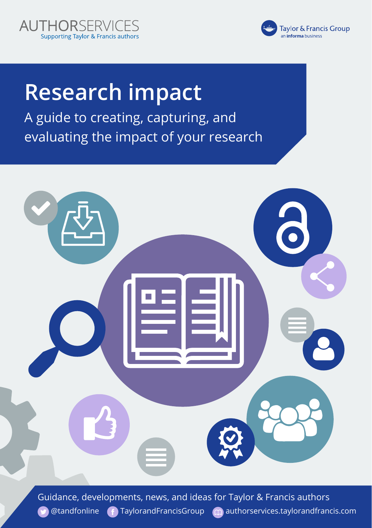



# **Research impact**

A guide to creating, capturing, and evaluating the impact of your research



Guidance, developments, news, and ideas for Taylor & Francis authors  $\bigcirc$  [@tandfonline](https://twitter.com/tandfonline)  $\bigcirc$  [TaylorandFrancisGroup](https://www.facebook.com/TaylorandFrancisGroup/)  $\bigcirc$  [authorservices.taylorandfrancis.com](https://authorservices.taylorandfrancis.com/)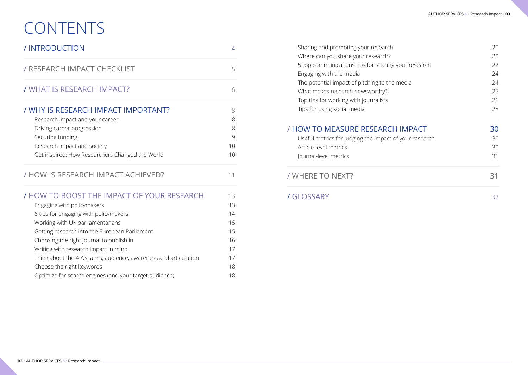# **CONTENTS**

| / INTRODUCTION                                                                                                                                                                                                                                                                             | 4                                      |
|--------------------------------------------------------------------------------------------------------------------------------------------------------------------------------------------------------------------------------------------------------------------------------------------|----------------------------------------|
| / RESEARCH IMPACT CHECKLIST                                                                                                                                                                                                                                                                | 5                                      |
| / WHAT IS RESEARCH IMPACT?                                                                                                                                                                                                                                                                 | 6                                      |
| / WHY IS RESEARCH IMPACT IMPORTANT?<br>Research impact and your career<br>Driving career progression<br>Securing funding<br>Research impact and society<br>Get inspired: How Researchers Changed the World                                                                                 | 8<br>8<br>8<br>9<br>10<br>10           |
| / HOW IS RESEARCH IMPACT ACHIEVED?                                                                                                                                                                                                                                                         | 11                                     |
| / HOW TO BOOST THE IMPACT OF YOUR RESEARCH<br>Engaging with policymakers<br>6 tips for engaging with policymakers<br>Working with UK parliamentarians<br>Getting research into the European Parliament<br>Choosing the right journal to publish in<br>Writing with research impact in mind | 13<br>13<br>14<br>15<br>15<br>16<br>17 |

Think about the 4 A's: aims, audience, awareness and articulation 17 Choose the right keywords and the state of the right keywords and the state of the state of the state of the state of the state of the state of the state of the state of the state of the state of the state of the state of Optimize for search engines (and your target audience) 18

| Sharing and promoting your research                    | 20 |
|--------------------------------------------------------|----|
| Where can you share your research?                     | 20 |
| 5 top communications tips for sharing your research    | 22 |
| Engaging with the media                                | 24 |
| The potential impact of pitching to the media          | 24 |
| What makes research newsworthy?                        | 25 |
| Top tips for working with journalists                  | 26 |
| Tips for using social media                            | 28 |
| / HOW TO MEASURE RESEARCH IMPACT                       | 30 |
| Useful metrics for judging the impact of your research | 30 |
| Article-level metrics                                  | 30 |
| Journal-level metrics                                  | 31 |
| / WHERE TO NEXT?                                       | 31 |
| 7 GLOSSARY                                             | 32 |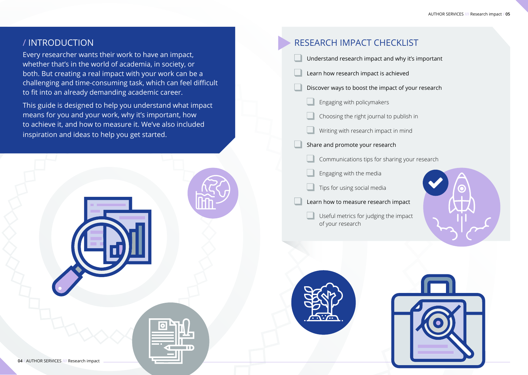# / INTRODUCTION

Every researcher wants their work to have an impact, whether that's in the world of academia, in society, or both. But creating a real impact with your work can be a challenging and time-consuming task, which can feel difficult to fit into an already demanding academic career.

This guide is designed to help you understand what impact means for you and your work, why it's important, how to achieve it, and how to measure it. We've also included inspiration and ideas to help you get started.



# RESEARCH IMPACT CHECKLIST Understand research impact and why it's important Learn how research impact is achieved Discover ways to boost the impact of your research Engaging with policymakers Choosing the right journal to publish in Writing with research impact in mind Share and promote your research Communications tips for sharing your research Engaging with the media Tips for using social media

- Learn how to measure research impact
	- Useful metrics for judging the impact of your research





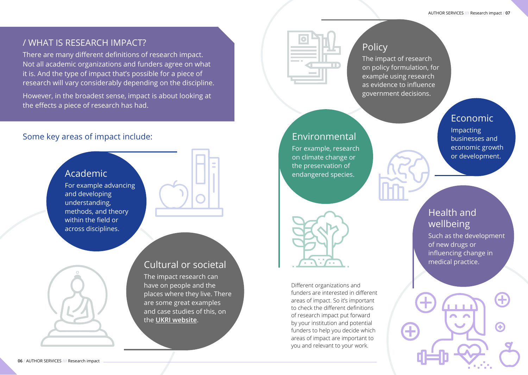# / WHAT IS RESEARCH IMPACT?

There are many different definitions of research impact. Not all academic organizations and funders agree on what it is. And the type of impact that's possible for a piece of research will vary considerably depending on the discipline.

However, in the broadest sense, impact is about looking at the effects a piece of research has had.

# Some key areas of impact include:

**06** / AUTHOR SERVICES /// Research impact



places where they live. There are some great examples and case studies of this, on the **[UKRI website](https://www.ukri.org/about-us/strategic-prospectus/creating-social-and-cultural-impact/)**.

| ×<br><b>Service State</b> |
|---------------------------|
| <b>The Common</b>         |
|                           |

# Policy

The impact of research on policy formulation, for example using research as evidence to influence government decisions.

# Environmental

For example, research on climate change or the preservation of endangered species.



Different organizations and funders are interested in different areas of impact. So it's important to check the different definitions of research impact put forward by your institution and potential funders to help you decide which areas of impact are important to you and relevant to your work.

# Economic

Impacting businesses and economic growth or development.

# Health and wellbeing

Such as the development of new drugs or influencing change in medical practice.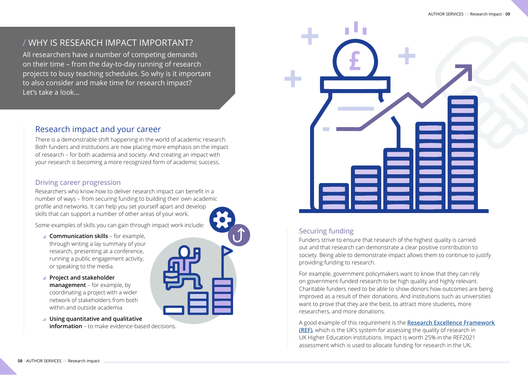# / WHY IS RESEARCH IMPACT IMPORTANT?

All researchers have a number of competing demands on their time – from the day-to-day running of research projects to busy teaching schedules. So why is it important to also consider and make time for research impact? Let's take a look...

#### Securing funding

Funders strive to ensure that research of the highest quality is carried out and that research can demonstrate a clear positive contribution to society. Being able to demonstrate impact allows them to continue to justify providing funding to research.

For example, government policymakers want to know that they can rely on government-funded research to be high quality and highly relevant. Charitable funders need to be able to show donors how outcomes are being improved as a result of their donations. And institutions such as universities want to prove that they are the best, to attract more students, more researchers, and more donations.

A good example of this requirement is the **[Research Excellence Framework](https://www.ref.ac.uk/about/)  [\(REF\)](https://www.ref.ac.uk/about/)**, which is the UK's system for assessing the quality of research in UK Higher Education institutions. Impact is worth 25% in the REF2021 assessment which is used to allocate funding for research in the UK.

## Research impact and your career

There is a demonstrable shift happening in the world of academic research. Both funders and institutions are now placing more emphasis on the impact of research – for both academia and society. And creating an impact with your research is becoming a more recognized form of academic success.

#### Driving career progression

Researchers who know how to deliver research impact can benefit in a number of ways – from securing funding to building their own academic profile and networks. It can help you set yourself apart and develop skills that can support a number of other areas of your work.

Some examples of skills you can gain through impact work include:

- **Communication skills** for example, through writing a lay summary of your research, presenting at a conference, running a public engagement activity, or speaking to the media.
- **Project and stakeholder management** – for example, by coordinating a project with a wider network of stakeholders from both within and outside academia.
- **Using quantitative and qualitative information** – to make evidence-based decisions.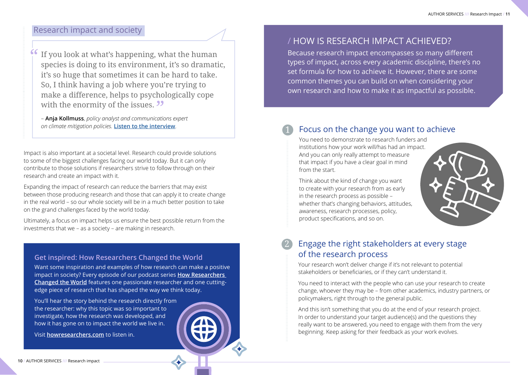#### Research impact and society

If you look at what's happening, what the human species is doing to its environment, it's so dramatic, it's so huge that sometimes it can be hard to take. So, I think having a job where you're trying to make a difference, helps to psychologically cope with the enormity of the issues. **32** 

– **Anja Kollmuss**, *policy analyst and communications expert on climate mitigation policies.* **[Listen to the interview](https://www.howresearchers.com/podcasts/episode-9/)**.

Impact is also important at a societal level. Research could provide solutions to some of the biggest challenges facing our world today. But it can only contribute to those solutions if researchers strive to follow through on their research and create an impact with it.

Expanding the impact of research can reduce the barriers that may exist between those producing research and those that can apply it to create change in the real world – so our whole society will be in a much better position to take on the grand challenges faced by the world today.

Ultimately, a focus on impact helps us ensure the best possible return from the investments that we – as a society – are making in research.

#### **Get inspired: How Researchers Changed the World**

Want some inspiration and examples of how research can make a positive impact in society? Every episode of our podcast series **[How Researchers](https://www.howresearchers.com/)  [Changed the World](https://www.howresearchers.com/)** features one passionate researcher and one cuttingedge piece of research that has shaped the way we think today.

You'll hear the story behind the research directly from the researcher: why this topic was so important to investigate, how the research was developed, and how it has gone on to impact the world we live in.

Visit **[howresearchers.com](https://www.howresearchers.com/)** to listen in.

Because research impact encompasses so many different types of impact, across every academic discipline, there's no set formula for how to achieve it. However, there are some common themes you can build on when considering your own research and how to make it as impactful as possible.

# Focus on the change you want to achieve

You need to demonstrate to research funders and institutions how your work will/has had an impact. And you can only really attempt to measure that impact if you have a clear goal in mind from the start.

Think about the kind of change you want to create with your research from as early in the research process as possible – whether that's changing behaviors, attitudes, awareness, research processes, policy, product specifications, and so on.



#### Engage the right stakeholders at every stage of the research process 2

Your research won't deliver change if it's not relevant to potential stakeholders or beneficiaries, or if they can't understand it.

You need to interact with the people who can use your research to create change, whoever they may be – from other academics, industry partners, or policymakers, right through to the general public.

And this isn't something that you do at the end of your research project. In order to understand your target audience(s) and the questions they really want to be answered, you need to engage with them from the very beginning. Keep asking for their feedback as your work evolves.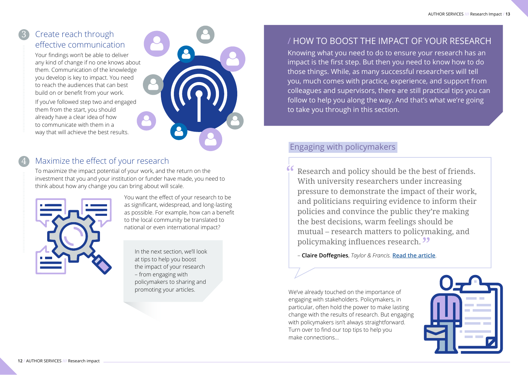# Create reach through effective communication

3

4

Your findings won't be able to deliver any kind of change if no one knows about them. Communication of the knowledge you develop is key to impact. You need to reach the audiences that can best build on or benefit from your work.

If you've followed step two and engaged them from the start, you should already have a clear idea of how to communicate with them in a way that will achieve the best results.



# Maximize the effect of your research

To maximize the impact potential of your work, and the return on the investment that you and your institution or funder have made, you need to think about how any change you can bring about will scale.



You want the effect of your research to be as significant, widespread, and long-lasting as possible. For example, how can a benefit to the local community be translated to national or even international impact?

In the next section, we'll look at tips to help you boost the impact of your research – from engaging with policymakers to sharing and promoting your articles.

# / HOW TO BOOST THE IMPACT OF YOUR RESEARCH

Knowing what you need to do to ensure your research has an impact is the first step. But then you need to know how to do those things. While, as many successful researchers will tell you, much comes with practice, experience, and support from colleagues and supervisors, there are still practical tips you can follow to help you along the way. And that's what we're going to take you through in this section.

# Engaging with policymakers

Research and policy should be the best of friends. With university researchers under increasing pressure to demonstrate the impact of their work, and politicians requiring evidence to inform their policies and convince the public they're making the best decisions, warm feelings should be mutual – research matters to policymaking, and policymaking influences research.

– **Claire Doffegnies**, *Taylor & Francis.* **[Read the article](https://wonkhe.com/blogs/research-matters-in-policymaking-and-the-feelings-mutual/)**.

We've already touched on the importance of engaging with stakeholders. Policymakers, in particular, often hold the power to make lasting change with the results of research. But engaging with policymakers isn't always straightforward. Turn over to find our top tips to help you make connections…

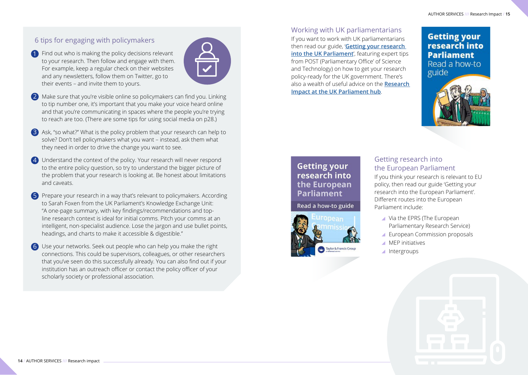#### 6 tips for engaging with policymakers

Find out who is making the policy decisions relevant 1 to your research. Then follow and engage with them. For example, keep a regular check on their websites and any newsletters, follow them on Twitter, go to their events – and invite them to yours.



- 2) Make sure that you're visible online so policymakers can find you. Linking to tip number one, it's important that you make your voice heard online and that you're communicating in spaces where the people you're trying to reach are too. (There are some tips for using social media on p28.)
- 3) Ask, "so what?" What is the policy problem that your research can help to solve? Don't tell policymakers what you want – instead, ask them what they need in order to drive the change you want to see.
- 4) Understand the context of the policy. Your research will never respond to the entire policy question, so try to understand the bigger picture of the problem that your research is looking at. Be honest about limitations and caveats.
- 5 Prepare your research in a way that's relevant to policymakers. According to Sarah Foxen from the UK Parliament's Knowledge Exchange Unit: "A one-page summary, with key findings/recommendations and topline research context is ideal for initial comms. Pitch your comms at an intelligent, non-specialist audience. Lose the jargon and use bullet points, headings, and charts to make it accessible & digestible."
- 6 Use your networks. Seek out people who can help you make the right connections. This could be supervisors, colleagues, or other researchers that you've seen do this successfully already. You can also find out if your institution has an outreach officer or contact the policy officer of your scholarly society or professional association.

[Working with UK parliamentarians](https://authorservices.taylorandfrancis.com/research-impact/getting-research-into-uk-parliament/) If you want to work with UK parliamentarians then read our guide, '**[Getting your research](https://authorservices.taylorandfrancis.com/research-impact/getting-research-into-uk-parliament/)  [into the UK Parliament](https://authorservices.taylorandfrancis.com/research-impact/getting-research-into-uk-parliament/)**', featuring expert tips from POST (Parliamentary Office' of Science and Technology) on how to get your research policy-ready for the UK government. There's also a wealth of useful advice on the **[Research](https://www.parliament.uk/research-impact/)  [Impact at the UK Parliament hub](https://www.parliament.uk/research-impact/)**.

### **Getting your** research into **Parliament** Read a how-to guide



# **Getting your** research into the European Parliament

Read a how-to guide



#### [Getting research into](https://authorservices.taylorandfrancis.com/research-impact/getting-research-into-uk-parliament/)  [the European Parliament](https://authorservices.taylorandfrancis.com/research-impact/getting-research-into-uk-parliament/)

If you think your research is relevant to EU policy, then read our guide 'Getting your research into the European Parliament'. Different routes into the European Parliament include:

- Via the EPRS (The European Parliamentary Research Service)
- European Commission proposals
- **MEP** initiatives
- ▲ Intergroups

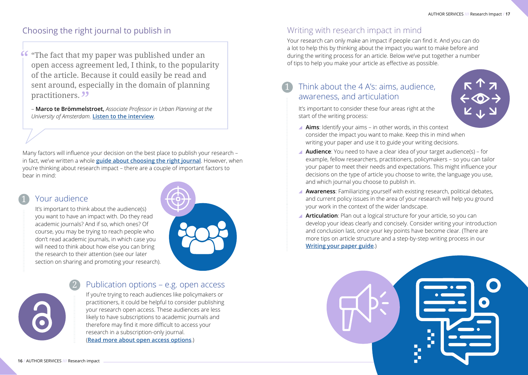# Choosing the right journal to publish in

"The fact that my paper was published under an open access agreement led, I think, to the popularity of the article. Because it could easily be read and sent around, especially in the domain of planning practitioners.<sup>99</sup>

– **Marco te Brömmelstroet,** *Associate Professor in Urban Planning at the University of Amsterdam.* **[Listen to the interview](https://www.howresearchers.com/podcasts/episode-8/)**.

Many factors will influence your decision on the best place to publish your research – in fact, we've written a whole **[guide about choosing the right journal](https://authorservices.taylorandfrancis.com/resources/choosing-journal-ebook/)**. However, when you're thinking about research impact – there are a couple of important factors to bear in mind:

# Your audience

It's important to think about the audience(s) you want to have an impact with. Do they read academic journals? And if so, which ones? Of course, you may be trying to reach people who don't read academic journals, in which case you will need to think about how else you can bring the research to their attention (see our later section on sharing and promoting your research).



#### Publication options – e.g. open access 2

If you're trying to reach audiences like policymakers or practitioners, it could be helpful to consider publishing your research open access. These audiences are less likely to have subscriptions to academic journals and therefore may find it more difficult to access your research in a subscription-only journal. (**[Read more about open access options](https://authorservices.taylorandfrancis.com/publishing-open-access/)**.)

# Writing with research impact in mind

Your research can only make an impact if people can find it. And you can do a lot to help this by thinking about the impact you want to make before and during the writing process for an article. Below we've put together a number of tips to help you make your article as effective as possible.

# Think about the 4 A's: aims, audience, awareness, and articulation

It's important to consider these four areas right at the start of the writing process:

- **Aims**: Identify your aims in other words, in this context consider the impact you want to make. Keep this in mind when writing your paper and use it to guide your writing decisions.
- **Audience**: You need to have a clear idea of your target audience(s) for example, fellow researchers, practitioners, policymakers – so you can tailor your paper to meet their needs and expectations. This might influence your decisions on the type of article you choose to write, the language you use, and which journal you choose to publish in.
- **Awareness**: Familiarizing yourself with existing research, political debates, and current policy issues in the area of your research will help you ground your work in the context of the wider landscape.
- **Articulation**: Plan out a logical structure for your article, so you can develop your ideas clearly and concisely. Consider writing your introduction and conclusion last, once your key points have become clear. (There are more tips on article structure and a step-by-step writing process in our **[Writing your paper guide](https://authorservices.taylorandfrancis.com/resources/writing-paper-ebook/)**.)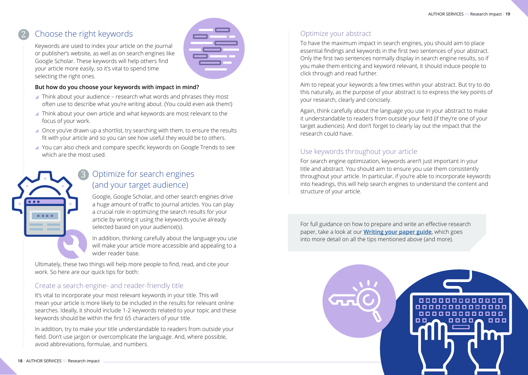#### Choose the right keywords 2

3

Keywords are used to index your article on the journal or publisher's website, as well as on search engines like Google Scholar. These keywords will help others find your article more easily, so it's vital to spend time selecting the right ones.

#### **But how do you choose your keywords with impact in mind?**

- Think about your audience research what words and phrases they most often use to describe what you're writing about. (You could even ask them!)
- ▲ Think about your own article and what keywords are most relevant to the focus of your work.
- Once you've drawn up a shortlist, try searching with them, to ensure the results fit with your article and so you can see how useful they would be to others.
- You can also check and compare specific keywords on Google Trends to see which are the most used.

# Optimize for search engines (and your target audience)

Google, Google Scholar, and other search engines drive a huge amount of traffic to journal articles. You can play a crucial role in optimizing the search results for your article by writing it using the keywords you've already selected based on your audience(s).

In addition, thinking carefully about the language you use will make your article more accessible and appealing to a wider reader base.

Ultimately, these two things will help more people to find, read, and cite your work. So here are our quick tips for both:

#### Create a search engine- and reader-friendly title

It's vital to incorporate your most relevant keywords in your title. This will mean your article is more likely to be included in the results for relevant online searches. Ideally, it should include 1-2 keywords related to your topic and these keywords should be within the first 65 characters of your title.

In addition, try to make your title understandable to readers from outside your field. Don't use jargon or overcomplicate the language. And, where possible, avoid abbreviations, formulae, and numbers.



### Optimize your abstract

To have the maximum impact in search engines, you should aim to place essential findings and keywords in the first two sentences of your abstract. Only the first two sentences normally display in search engine results, so if you make them enticing and keyword relevant, it should induce people to click through and read further.

Aim to repeat your keywords a few times within your abstract. But try to do this naturally, as the purpose of your abstract is to express the key points of your research, clearly and concisely.

Again, think carefully about the language you use in your abstract to make it understandable to readers from outside your field (if they're one of your target audiences). And don't forget to clearly lay out the impact that the research could have.

#### Use keywords throughout your article

For search engine optimization, keywords aren't just important in your title and abstract. You should aim to ensure you use them consistently throughout your article. In particular, if you're able to incorporate keywords into headings, this will help search engines to understand the content and structure of your article.

For full guidance on how to prepare and write an effective research paper, take a look at our **[Writing your paper guide](https://authorservices.taylorandfrancis.com/resources/writing-paper-ebook/)**, which goes into more detail on all the tips mentioned above (and more).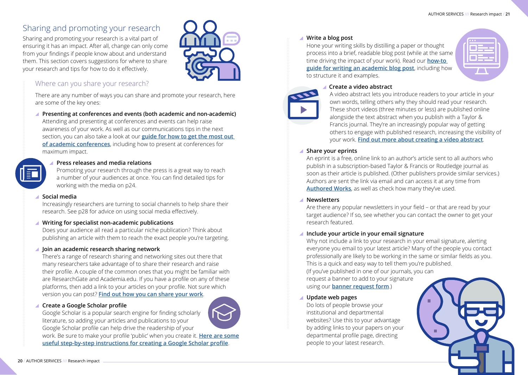# Sharing and promoting your research

Sharing and promoting your research is a vital part of ensuring it has an impact. After all, change can only come from your findings if people know about and understand them. This section covers suggestions for where to share your research and tips for how to do it effectively.



#### Where can you share your research?

There are any number of ways you can share and promote your research, here are some of the key ones:

#### **Presenting at conferences and events (both academic and non-academic)**  Attending and presenting at conferences and events can help raise awareness of your work. As well as our communications tips in the next section, you can also take a look at our **[guide for how to get the most out](https://authorservices.taylorandfrancis.com/academic-conference-tips/)  [of academic conferences](https://authorservices.taylorandfrancis.com/academic-conference-tips/)**, including how to present at conferences for maximum impact.

#### **Press releases and media relations**

Promoting your research through the press is a great way to reach a number of your audiences at once. You can find detailed tips for working with the media on p24.

#### **Social media**

Increasingly researchers are turning to social channels to help share their research. See p28 for advice on using social media effectively.

#### **Writing for specialist non-academic publications**

Does your audience all read a particular niche publication? Think about publishing an article with them to reach the exact people you're targeting.

#### $\blacksquare$  **Join an academic research sharing network**

There's a range of research sharing and networking sites out there that many researchers take advantage of to share their research and raise their profile. A couple of the common ones that you might be familiar with are ResearchGate and Academia.edu. If you have a profile on any of these platforms, then add a link to your articles on your profile. Not sure which version you can post? **[Find out how you can share your work](https://authorservices.taylorandfrancis.com/research-impact/sharing-versions-of-journal-articles/)**.

#### **Create a Google Scholar profile**

Google Scholar is a popular search engine for finding scholarly literature, so adding your articles and publications to your Google Scholar profile can help drive the readership of your

work. Be sure to make your profile 'public' when you create it. **[Here are some](https://libguides.reading.ac.uk/boost/google-scholar-profile)  [useful step-by-step instructions for creating a Google Scholar profile](https://libguides.reading.ac.uk/boost/google-scholar-profile)**.

#### **Write a blog post**

Hone your writing skills by distilling a paper or thought process into a brief, readable blog post (while at the same time driving the impact of your work). Read our **[how-to](https://authorservices.taylorandfrancis.com/research-impact/how-to-write-an-academic-blog-post/)  [guide for writing an academic blog post](https://authorservices.taylorandfrancis.com/research-impact/how-to-write-an-academic-blog-post/)**, including how to structure it and examples.

| <b>TELE</b> |  |
|-------------|--|
|             |  |
|             |  |

#### **Create a video abstract**



A video abstract lets you introduce readers to your article in your own words, telling others why they should read your research. These short videos (three minutes or less) are published online alongside the text abstract when you publish with a Taylor & Francis journal. They're an increasingly popular way of getting others to engage with published research, increasing the visibility of your work. **[Find out more about creating a video abstract](https://authorservices.taylorandfrancis.com/research-impact/creating-a-video-abstract-for-your-research/)**.

#### **Share your eprints**

An eprint is a free, online link to an author's article sent to all authors who publish in a subscription-based Taylor & Francis or Routledge journal as soon as their article is published. (Other publishers provide similar services.) Authors are sent the link via email and can access it at any time from **[Authored Works](https://authorservices.taylorandfrancis.com/research-impact/promote-your-published-article/)**, as well as check how many they've used.

#### **Newsletters**

Are there any popular newsletters in your field – or that are read by your target audience? If so, see whether you can contact the owner to get your research featured.

#### **Include your article in your email signature**

Why not include a link to your research in your email signature, alerting everyone you email to your latest article? Many of the people you contact professionally are likely to be working in the same or similar fields as you. This is a quick and easy way to tell them you're published. (If you've published in one of our journals, you can request a banner to add to your signature

using our **[banner request form](https://authorservices.taylorandfrancis.com/research-impact/promote-your-published-article/)**.)

#### **Update web pages**

Do lots of people browse your institutional and departmental websites? Use this to your advantage by adding links to your papers on your departmental profile page, directing people to your latest research.

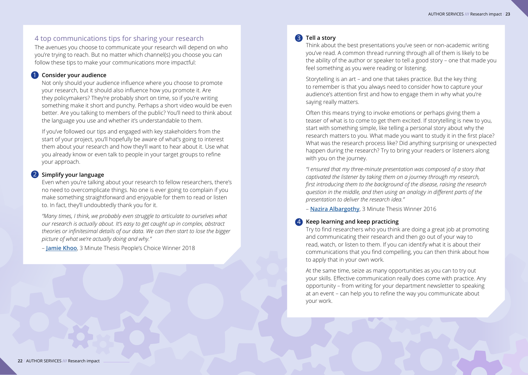#### 4 top communications tips for sharing your research 3

The avenues you choose to communicate your research will depend on who you're trying to reach. But no matter which channel(s) you choose you can follow these tips to make your communications more impactful:

#### **1** Consider your audience

Not only should your audience influence where you choose to promote your research, but it should also influence how you promote it. Are they policymakers? They're probably short on time, so if you're writing something make it short and punchy. Perhaps a short video would be even better. Are you talking to members of the public? You'll need to think about the language you use and whether it's understandable to them.

If you've followed our tips and engaged with key stakeholders from the start of your project, you'll hopefully be aware of what's going to interest them about your research and how they'll want to hear about it. Use what you already know or even talk to people in your target groups to refine your approach.

#### 2 Simplify your language

Even when you're talking about your research to fellow researchers, there's no need to overcomplicate things. No one is ever going to complain if you make something straightforward and enjoyable for them to read or listen to. In fact, they'll undoubtedly thank you for it.

*"Many times, I think, we probably even struggle to articulate to ourselves what our research is actually about. It's easy to get caught up in complex, abstract theories or infinitesimal details of our data. We can then start to lose the bigger picture of what we're actually doing and why."* 

– **[Jamie Khoo](https://authorservices.taylorandfrancis.com/public-engagement-and-initiating-change-in-a-tangible-real-way/)**, 3 Minute Thesis People's Choice Winner 2018

#### **B** Tell a story

Think about the best presentations you've seen or non-academic writing you've read. A common thread running through all of them is likely to be the ability of the author or speaker to tell a good story – one that made you feel something as you were reading or listening.

Storytelling is an art – and one that takes practice. But the key thing to remember is that you always need to consider how to capture your audience's attention first and how to engage them in why what you're saying really matters.

Often this means trying to invoke emotions or perhaps giving them a teaser of what is to come to get them excited. If storytelling is new to you, start with something simple, like telling a personal story about why the research matters to you. What made you want to study it in the first place? What was the research process like? Did anything surprising or unexpected happen during the research? Try to bring your readers or listeners along with you on the journey.

*"I ensured that my three-minute presentation was composed of a story that captivated the listener by taking them on a journey through my research, first introducing them to the background of the disease, raising the research question in the middle, and then using an analogy in different parts of the presentation to deliver the research idea."* 

– **[Nazira Albargothy](https://authorservices.taylorandfrancis.com/3-minutes-to-pitch-your-research/)**, 3 Minute Thesis Winner 2016

#### **Keep learning and keep practicing** 4

Try to find researchers who you think are doing a great job at promoting and communicating their research and then go out of your way to read, watch, or listen to them. If you can identify what it is about their communications that you find compelling, you can then think about how to apply that in your own work.

At the same time, seize as many opportunities as you can to try out your skills. Effective communication really does come with practice. Any opportunity – from writing for your department newsletter to speaking at an event – can help you to refine the way you communicate about your work.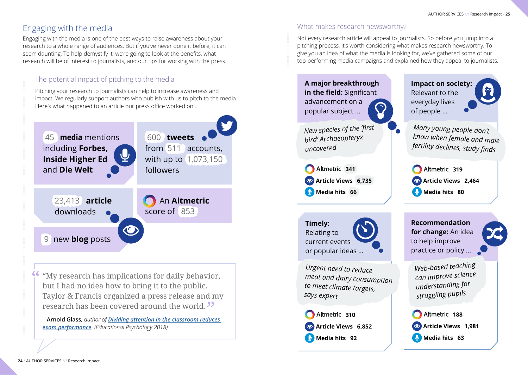# Engaging with the media

Engaging with the media is one of the best ways to raise awareness about your research to a whole range of audiences. But if you've never done it before, it can seem daunting. To help demystify it, we're going to look at the benefits, what research will be of interest to journalists, and our tips for working with the press.

# The potential impact of pitching to the media

Pitching your research to journalists can help to increase awareness and impact. We regularly support authors who publish with us to pitch to the media. Here's what happened to an article our press office worked on…



"My research has implications for daily behavior, but I had no idea how to bring it to the public. Taylor & Francis organized a press release and my research has been covered around the world.

– **Arnold Glass,** *author of [Dividing attention in the classroom reduces](https://bit.ly/2UrBv2V)  [exam performance](https://bit.ly/2UrBv2V). (Educational Psychology 2018)*

## What makes research newsworthy?

Not every research article will appeal to journalists. So before you jump into a pitching process, it's worth considering what makes research newsworthy. To give you an idea of what the media is looking for, we've gathered some of our top-performing media campaigns and explained how they appeal to journalists.

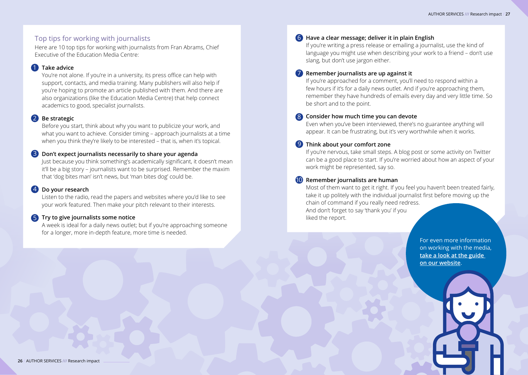#### Top tips for working with journalists

Here are 10 top tips for working with journalists from Fran Abrams, Chief Executive of the Education Media Centre:

#### **1** Take advice

You're not alone. If you're in a university, its press office can help with support, contacts, and media training. Many publishers will also help if you're hoping to promote an article published with them. And there are also organizations (like the Education Media Centre) that help connect academics to good, specialist journalists.

#### **Be strategic** 2

Before you start, think about why you want to publicize your work, and what you want to achieve. Consider timing – approach journalists at a time when you think they're likely to be interested – that is, when it's topical.

#### **Don't expect journalists necessarily to share your agenda** 3

Just because you think something's academically significant, it doesn't mean it'll be a big story – journalists want to be surprised. Remember the maxim that 'dog bites man' isn't news, but 'man bites dog' could be.

#### **Do your research** 4

Listen to the radio, read the papers and websites where you'd like to see your work featured. Then make your pitch relevant to their interests.

#### **5** Try to give journalists some notice

A week is ideal for a daily news outlet; but if you're approaching someone for a longer, more in-depth feature, more time is needed.

#### **Have a clear message; deliver it in plain English** 6

If you're writing a press release or emailing a journalist, use the kind of language you might use when describing your work to a friend – don't use slang, but don't use jargon either.

#### **7** Remember journalists are up against it

If you're approached for a comment, you'll need to respond within a few hours if it's for a daily news outlet. And if you're approaching them, remember they have hundreds of emails every day and very little time. So be short and to the point.

#### **Consider how much time you can devote** 8

Even when you've been interviewed, there's no guarantee anything will appear. It can be frustrating, but it's very worthwhile when it works.

#### **9** Think about your comfort zone

If you're nervous, take small steps. A blog post or some activity on Twitter can be a good place to start. If you're worried about how an aspect of your work might be represented, say so.

#### **10** Remember journalists are human

Most of them want to get it right. If you feel you haven't been treated fairly, take it up politely with the individual journalist first before moving up the chain of command if you really need redress. And don't forget to say 'thank you' if you liked the report.

> For even more information on working with the media, **[take a look at the guide](https://authorservices.taylorandfrancis.com/research-impact/working-with-the-media-to-promote-your-research/)  [on our website](https://authorservices.taylorandfrancis.com/research-impact/working-with-the-media-to-promote-your-research/)**.

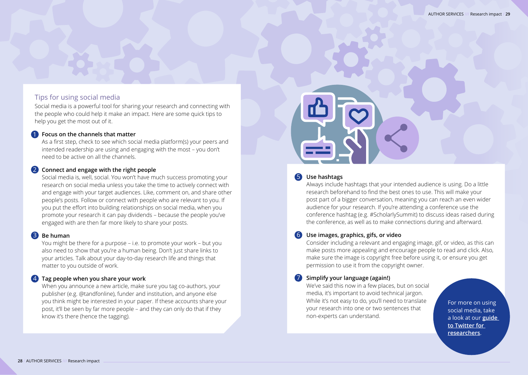#### Tips for using social media

Social media is a powerful tool for sharing your research and connecting with the people who could help it make an impact. Here are some quick tips to help you get the most out of it.

#### **Focus on the channels that matter** 1

As a first step, check to see which social media platform(s) your peers and intended readership are using and engaging with the most – you don't need to be active on all the channels.

#### 2 Connect and engage with the right people

Social media is, well, social. You won't have much success promoting your research on social media unless you take the time to actively connect with and engage with your target audiences. Like, comment on, and share other people's posts. Follow or connect with people who are relevant to you. If you put the effort into building relationships on social media, when you promote your research it can pay dividends – because the people you've engaged with are then far more likely to share your posts.

#### **Be human** 3

You might be there for a purpose – i.e. to promote your work – but you also need to show that you're a human being. Don't just share links to your articles. Talk about your day-to-day research life and things that matter to you outside of work.

#### **Tag people when you share your work** 4

When you announce a new article, make sure you tag co-authors, your publisher (e.g. @tandfonline), funder and institution, and anyone else you think might be interested in your paper. If these accounts share your post, it'll be seen by far more people – and they can only do that if they know it's there (hence the tagging).



#### **Use hashtags** 5

Always include hashtags that your intended audience is using. Do a little research beforehand to find the best ones to use. This will make your post part of a bigger conversation, meaning you can reach an even wider audience for your research. If you're attending a conference use the conference hashtag (e.g. #ScholarlySummit) to discuss ideas raised during the conference, as well as to make connections during and afterward.

#### **Use images, graphics, gifs, or video** 6

Consider including a relevant and engaging image, gif, or video, as this can make posts more appealing and encourage people to read and click. Also, make sure the image is copyright free before using it, or ensure you get permission to use it from the copyright owner.

#### **7** Simplify your language (again!)

We've said this now in a few places, but on social media, it's important to avoid technical jargon. While it's not easy to do, you'll need to translate your research into one or two sentences that non-experts can understand.

For more on using social media, take a look at our **[guide](https://authorservices.taylorandfrancis.com/research-impact/a-guide-to-twitter-for-researchers/)  [to Twitter for](https://authorservices.taylorandfrancis.com/research-impact/a-guide-to-twitter-for-researchers/)  [researchers](https://authorservices.taylorandfrancis.com/research-impact/a-guide-to-twitter-for-researchers/)**.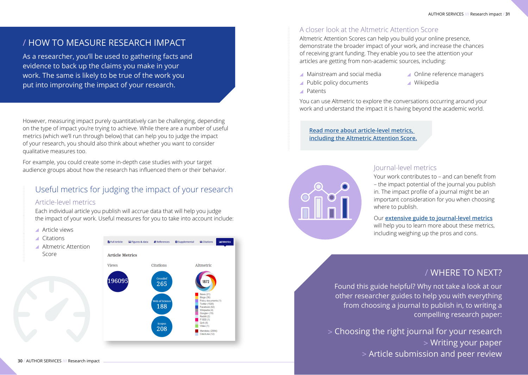# / HOW TO MEASURE RESEARCH IMPACT

As a researcher, you'll be used to gathering facts and evidence to back up the claims you make in your work. The same is likely to be true of the work you put into improving the impact of your research.

However, measuring impact purely quantitatively can be challenging, depending on the type of impact you're trying to achieve. While there are a number of useful metrics (which we'll run through below) that can help you to judge the impact of your research, you should also think about whether you want to consider qualitative measures too.

For example, you could create some in-depth case studies with your target audience groups about how the research has influenced them or their behavior.

# Useful metrics for judging the impact of your research

#### Article-level metrics

Each individual article you publish will accrue data that will help you judge the impact of your work. Useful measures for you to take into account include:

- Article views
- Citations **B** Full Article **Exercise** Figures & data **Exercerces C** Supplemental **GC** Citations **Altmetric Attention** Score **Article Metrics** Views Citations Altmetric 9609 265 h of Scien olicy docum vitter (1826) 188 arahook (82) ddit  $(2)$  $non<sub>1</sub>$ 208 Mendeley (2084

#### A closer look at the Altmetric Attention Score

Altmetric Attention Scores can help you build your online presence, demonstrate the broader impact of your work, and increase the chances of receiving grant funding. They enable you to see the attention your articles are getting from non-academic sources, including:

- Mainstream and social media
- ▲ Online reference managers

▲ Wikipedia

- ▲ Public policy documents
- Patents

You can use Altmetric to explore the conversations occurring around your work and understand the impact it is having beyond the academic world.

**[Read more about article-level metrics,](https://authorservices.taylorandfrancis.com/research-impact/how-to-measure-research-impact/)  [including the Altmetric Attention Score.](https://authorservices.taylorandfrancis.com/research-impact/how-to-measure-research-impact/)**



#### Journal-level metrics

Your work contributes to – and can benefit from – the impact potential of the journal you publish in. The impact profile of a journal might be an important consideration for you when choosing where to publish.

Our **[extensive guide to journal-level metrics](https://authorservices.taylorandfrancis.com/publishing-your-research/choosing-a-journal/journal-metrics/)**

will help you to learn more about these metrics, including weighing up the pros and cons.

# / WHERE TO NEXT?

Found this guide helpful? Why not take a look at our other researcher guides to help you with everything from choosing a journal to publish in, to writing a compelling research paper:

[> Choosing the right journal for your research](https://authorservices.taylorandfrancis.com/resources/choosing-journal-ebook/) [> Writing your paper](https://authorservices.taylorandfrancis.com/resources/writing-paper-ebook/) [> Article submission and peer review](https://authorservices.taylorandfrancis.com/resources/submission-peer-review-ebook/)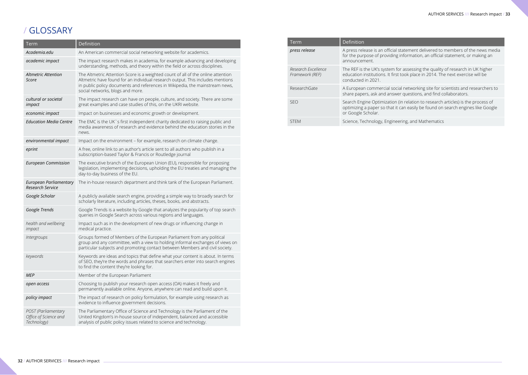# / GLOSSARY

| Term                                                        | Definition                                                                                                                                                                                                                                                                             |  |
|-------------------------------------------------------------|----------------------------------------------------------------------------------------------------------------------------------------------------------------------------------------------------------------------------------------------------------------------------------------|--|
| Academia.edu                                                | An American commercial social networking website for academics.                                                                                                                                                                                                                        |  |
| academic impact                                             | The impact research makes in academia, for example advancing and developing<br>understanding, methods, and theory within the field or across disciplines.                                                                                                                              |  |
| <b>Altmetric Attention</b><br>Score                         | The Altmetric Attention Score is a weighted count of all of the online attention<br>Altmetric have found for an individual research output. This includes mentions<br>in public policy documents and references in Wikipedia, the mainstream news,<br>social networks, blogs and more. |  |
| cultural or societal<br>impact                              | The impact research can have on people, culture, and society. There are some<br>great examples and case studies of this, on the UKRI website.                                                                                                                                          |  |
| economic impact                                             | Impact on businesses and economic growth or development.                                                                                                                                                                                                                               |  |
| <b>Education Media Centre</b>                               | The EMC is the UK `s first independent charity dedicated to raising public and<br>media awareness of research and evidence behind the education stories in the<br>news.                                                                                                                |  |
| environmental impact                                        | Impact on the environment - for example, research on climate change.                                                                                                                                                                                                                   |  |
| eprint                                                      | A free, online link to an author's article sent to all authors who publish in a<br>subscription-based Taylor & Francis or Routledge journal                                                                                                                                            |  |
| <b>European Commission</b>                                  | The executive branch of the European Union (EU), responsible for proposing<br>legislation, implementing decisions, upholding the EU treaties and managing the<br>day-to-day business of the EU.                                                                                        |  |
| European Parliamentary<br><b>Research Service</b>           | The in-house research department and think tank of the European Parliament.                                                                                                                                                                                                            |  |
| Google Scholar                                              | A publicly available search engine, providing a simple way to broadly search for<br>scholarly literature, including articles, theses, books, and abstracts.                                                                                                                            |  |
| Google Trends                                               | Google Trends is a website by Google that analyzes the popularity of top search<br>queries in Google Search across various regions and languages.                                                                                                                                      |  |
| health and wellbeing<br>impact                              | Impact such as in the development of new drugs or influencing change in<br>medical practice.                                                                                                                                                                                           |  |
| Intergroups                                                 | Groups formed of Members of the European Parliament from any political<br>group and any committee, with a view to holding informal exchanges of views on<br>particular subjects and promoting contact between Members and civil society.                                               |  |
| keywords                                                    | Keywords are ideas and topics that define what your content is about. In terms<br>of SEO, they're the words and phrases that searchers enter into search engines<br>to find the content they're looking for.                                                                           |  |
| <b>MEP</b>                                                  | Member of the European Parliament                                                                                                                                                                                                                                                      |  |
| open access                                                 | Choosing to publish your research open access (OA) makes it freely and<br>permanently available online. Anyone, anywhere can read and build upon it.                                                                                                                                   |  |
| policy impact                                               | The impact of research on policy formulation, for example using research as<br>evidence to influence government decisions.                                                                                                                                                             |  |
| POST (Parliamentary<br>Office of Science and<br>Technology) | The Parliamentary Office of Science and Technology is the Parliament of the<br>United Kingdom's in-house source of independent, balanced and accessible<br>analysis of public policy issues related to science and technology.                                                         |  |

|  | Term                                   | Definition                                                                                                                                                                               |  |
|--|----------------------------------------|------------------------------------------------------------------------------------------------------------------------------------------------------------------------------------------|--|
|  | press release                          | A press release is an official statement delivered to members of the news media<br>for the purpose of providing information, an official statement, or making an<br>announcement.        |  |
|  | Research Excellence<br>Framework (REF) | The REF is the UK's system for assessing the quality of research in UK higher<br>education institutions. It first took place in 2014. The next exercise will be<br>conducted in 2021.    |  |
|  | ResearchGate                           | A European commercial social networking site for scientists and researchers to<br>share papers, ask and answer questions, and find collaborators.                                        |  |
|  | <b>SFO</b>                             | Search Engine Optimization (in relation to research articles) is the process of<br>optimizing a paper so that it can easily be found on search engines like Google<br>or Google Scholar. |  |
|  | <b>STEM</b>                            | Science, Technology, Engineering, and Mathematics                                                                                                                                        |  |